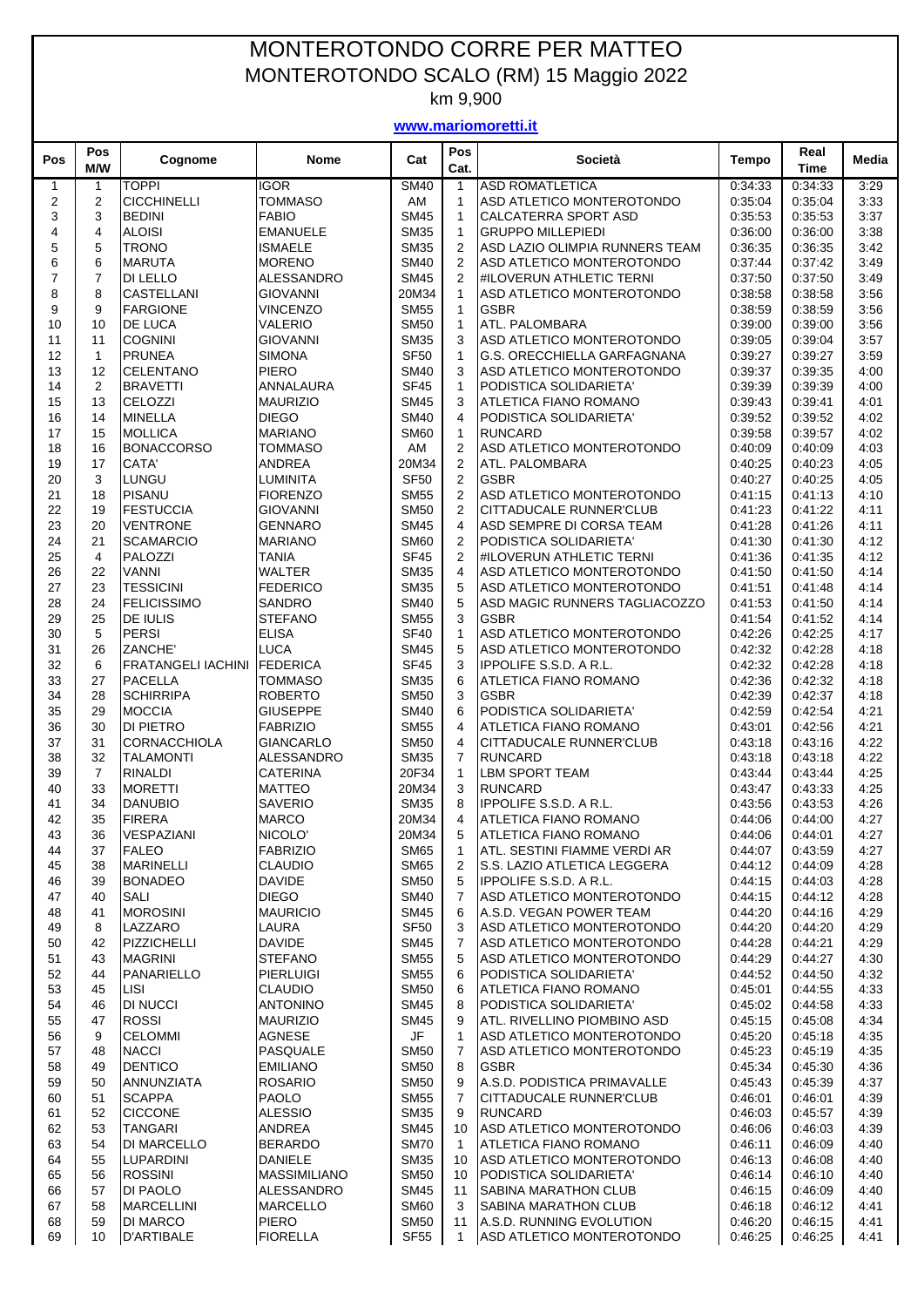## MONTEROTONDO CORRE PER MATTEO MONTEROTONDO SCALO (RM) 15 Maggio 2022

km 9,900

**www.mariomoretti.it**

| Pos          | Pos<br>M/W     | Cognome                              | <b>Nome</b>                        | Cat                             | Pos<br>Cat.                  | Società                                                             | <b>Tempo</b>       | Real<br><b>Time</b> | Media        |
|--------------|----------------|--------------------------------------|------------------------------------|---------------------------------|------------------------------|---------------------------------------------------------------------|--------------------|---------------------|--------------|
| $\mathbf{1}$ | 1              | <b>TOPPI</b>                         | <b>IGOR</b>                        | <b>SM40</b>                     | $\mathbf{1}$                 | <b>ASD ROMATLETICA</b>                                              | 0:34:33            | 0:34:33             | 3:29         |
| 2            | $\overline{2}$ | <b>CICCHINELLI</b>                   | <b>TOMMASO</b>                     | AM                              | $\mathbf{1}$                 | ASD ATLETICO MONTEROTONDO                                           | 0:35:04            | 0:35:04             | 3:33         |
| 3            | 3              | <b>BEDINI</b>                        | <b>FABIO</b>                       | <b>SM45</b>                     | $\mathbf{1}$                 | <b>CALCATERRA SPORT ASD</b>                                         | 0:35:53            | 0:35:53             | 3:37         |
| 4            | $\overline{4}$ | <b>ALOISI</b>                        | <b>EMANUELE</b>                    | <b>SM35</b>                     | $\mathbf{1}$                 | <b>GRUPPO MILLEPIEDI</b>                                            | 0:36:00            | 0:36:00             | 3:38         |
| 5            | 5              | <b>TRONO</b>                         | <b>ISMAELE</b>                     | <b>SM35</b>                     | 2                            | ASD LAZIO OLIMPIA RUNNERS TEAM                                      | 0:36:35            | 0:36:35             | 3:42         |
| 6            | 6              | <b>MARUTA</b>                        | <b>MORENO</b>                      | <b>SM40</b>                     | 2                            | ASD ATLETICO MONTEROTONDO                                           | 0:37:44            | 0:37:42             | 3:49         |
| 7            | $\overline{7}$ | DI LELLO                             | ALESSANDRO                         | <b>SM45</b>                     | $\overline{2}$               | #ILOVERUN ATHLETIC TERNI                                            | 0:37:50            | 0.37:50             | 3:49         |
| 8            | 8              | <b>CASTELLANI</b>                    | <b>GIOVANNI</b>                    | 20M34                           | $\mathbf{1}$                 | ASD ATLETICO MONTEROTONDO                                           | 0:38:58            | 0:38:58             | 3:56         |
| 9<br>10      | 9<br>10        | <b>FARGIONE</b><br><b>DE LUCA</b>    | <b>VINCENZO</b><br><b>VALERIO</b>  | <b>SM55</b><br><b>SM50</b>      | $\mathbf{1}$<br>$\mathbf{1}$ | <b>GSBR</b><br>ATL. PALOMBARA                                       | 0:38:59<br>0:39:00 | 0:38:59<br>0:39:00  | 3:56<br>3:56 |
| 11           | 11             | <b>COGNINI</b>                       | <b>GIOVANNI</b>                    | <b>SM35</b>                     | 3                            | ASD ATLETICO MONTEROTONDO                                           | 0:39:05            | 0:39:04             | 3:57         |
| 12           | $\mathbf{1}$   | <b>PRUNEA</b>                        | <b>SIMONA</b>                      | <b>SF50</b>                     | $\mathbf{1}$                 | G.S. ORECCHIELLA GARFAGNANA                                         | 0:39:27            | 0:39:27             | 3:59         |
| 13           | 12             | <b>CELENTANO</b>                     | <b>PIERO</b>                       | <b>SM40</b>                     | 3                            | ASD ATLETICO MONTEROTONDO                                           | 0:39:37            | 0:39:35             | 4:00         |
| 14           | 2              | <b>BRAVETTI</b>                      | ANNALAURA                          | <b>SF45</b>                     | $\mathbf{1}$                 | PODISTICA SOLIDARIETA'                                              | 0:39:39            | 0:39:39             | 4:00         |
| 15           | 13             | <b>CELOZZI</b>                       | <b>MAURIZIO</b>                    | <b>SM45</b>                     | 3                            | ATLETICA FIANO ROMANO                                               | 0:39:43            | 0:39:41             | 4:01         |
| 16           | 14             | <b>MINELLA</b>                       | <b>DIEGO</b>                       | <b>SM40</b>                     | 4                            | PODISTICA SOLIDARIETA'                                              | 0:39:52            | 0:39:52             | 4:02         |
| 17           | 15             | <b>MOLLICA</b>                       | <b>MARIANO</b>                     | <b>SM60</b>                     | $\mathbf{1}$                 | <b>RUNCARD</b>                                                      | 0:39:58            | 0:39:57             | 4:02         |
| 18           | 16             | <b>BONACCORSO</b>                    | <b>TOMMASO</b>                     | AM                              | $\overline{2}$               | ASD ATLETICO MONTEROTONDO                                           | 0:40:09            | 0.40.09             | 4.03         |
| 19           | 17             | CATA'                                | <b>ANDREA</b>                      | 20M34                           | 2                            | ATL. PALOMBARA                                                      | 0:40:25            | 0.40.23             | 4:05         |
| 20           | 3              | LUNGU                                | <b>LUMINITA</b>                    | <b>SF50</b>                     | 2                            | <b>GSBR</b>                                                         | 0:40:27            | 0:40:25             | 4:05         |
| 21<br>22     | 18<br>19       | <b>PISANU</b><br><b>FESTUCCIA</b>    | <b>FIORENZO</b><br><b>GIOVANNI</b> | <b>SM55</b><br><b>SM50</b>      | 2<br>$\overline{2}$          | ASD ATLETICO MONTEROTONDO<br><b>CITTADUCALE RUNNER'CLUB</b>         | 0:41:15<br>0:41:23 | 0:41:13<br>0:41:22  | 4:10<br>4:11 |
| 23           | 20             | <b>VENTRONE</b>                      | <b>GENNARO</b>                     | <b>SM45</b>                     | $\overline{4}$               | ASD SEMPRE DI CORSA TEAM                                            | 0:41:28            | 0:41:26             | 4:11         |
| 24           | 21             | <b>SCAMARCIO</b>                     | <b>MARIANO</b>                     | <b>SM60</b>                     | 2                            | PODISTICA SOLIDARIETA'                                              | 0:41:30            | 0.41:30             | 4:12         |
| 25           | $\overline{4}$ | PALOZZI                              | <b>TANIA</b>                       | <b>SF45</b>                     | 2                            | <b>#ILOVERUN ATHLETIC TERNI</b>                                     | 0:41:36            | 0:41:35             | 4:12         |
| 26           | 22             | <b>VANNI</b>                         | <b>WALTER</b>                      | <b>SM35</b>                     | 4                            | ASD ATLETICO MONTEROTONDO                                           | 0:41:50            | 0:41:50             | 4:14         |
| 27           | 23             | <b>TESSICINI</b>                     | <b>FEDERICO</b>                    | <b>SM35</b>                     | 5                            | ASD ATLETICO MONTEROTONDO                                           | 0:41:51            | 0:41:48             | 4:14         |
| 28           | 24             | <b>FELICISSIMO</b>                   | <b>SANDRO</b>                      | <b>SM40</b>                     | 5                            | ASD MAGIC RUNNERS TAGLIACOZZO                                       | 0:41:53            | 0.41:50             | 4:14         |
| 29           | 25             | <b>DE IULIS</b>                      | <b>STEFANO</b>                     | <b>SM55</b>                     | 3                            | <b>GSBR</b>                                                         | 0:41:54            | 0:41:52             | 4:14         |
| 30           | 5              | <b>PERSI</b>                         | <b>ELISA</b>                       | <b>SF40</b>                     | $\mathbf{1}$                 | ASD ATLETICO MONTEROTONDO                                           | 0:42:26            | 0:42:25             | 4:17         |
| 31           | 26             | ZANCHE'                              | <b>LUCA</b>                        | <b>SM45</b>                     | 5                            | ASD ATLETICO MONTEROTONDO                                           | 0:42:32            | 0:42:28             | 4:18         |
| 32           | 6              | <b>FRATANGELI IACHINI</b>            | <b>FEDERICA</b>                    | <b>SF45</b>                     | 3                            | <b>IPPOLIFE S.S.D. A R.L.</b>                                       | 0:42:32            | 0:42:28             | 4:18         |
| 33           | 27             | <b>PACELLA</b>                       | <b>TOMMASO</b>                     | <b>SM35</b><br><b>SM50</b>      | 6                            | ATLETICA FIANO ROMANO                                               | 0:42:36            | 0:42:32             | 4:18         |
| 34<br>35     | 28<br>29       | <b>SCHIRRIPA</b><br><b>MOCCIA</b>    | <b>ROBERTO</b><br><b>GIUSEPPE</b>  | <b>SM40</b>                     | 3<br>6                       | <b>GSBR</b><br>PODISTICA SOLIDARIETA'                               | 0:42:39<br>0:42:59 | 0:42:37<br>0:42:54  | 4:18<br>4:21 |
| 36           | 30             | <b>DI PIETRO</b>                     | <b>FABRIZIO</b>                    | <b>SM55</b>                     | 4                            | <b>ATLETICA FIANO ROMANO</b>                                        | 0:43:01            | 0.42:56             | 4:21         |
| 37           | 31             | <b>CORNACCHIOLA</b>                  | <b>GIANCARLO</b>                   | <b>SM50</b>                     | 4                            | CITTADUCALE RUNNER'CLUB                                             | 0:43:18            | 0:43:16             | 4:22         |
| 38           | 32             | <b>TALAMONTI</b>                     | ALESSANDRO                         | <b>SM35</b>                     | 7                            | <b>RUNCARD</b>                                                      | 0:43:18            | 0:43:18             | 4:22         |
| 39           | 7              | RINALDI                              | <b>CATERINA</b>                    | 20F34                           | $\mathbf{1}$                 | <b>LBM SPORT TEAM</b>                                               | 0:43:44            | 0:43:44             | 4:25         |
| 40           | 33             | <b>MORETTI</b>                       | <b>MATTEO</b>                      | 20M34                           | 3                            | <b>RUNCARD</b>                                                      | 0:43:47            | 0:43:33             | 4:25         |
| 41           | 34             | <b>DANUBIO</b>                       | <b>SAVERIO</b>                     | <b>SM35</b>                     | 8                            | <b>IPPOLIFE S.S.D. A R.L.</b>                                       | 0:43:56            | 0:43:53             | 4:26         |
| 42           | 35             | <b>FIRERA</b>                        | <b>MARCO</b>                       | 20M34                           | 4                            | <b>ATLETICA FIANO ROMANO</b>                                        | 0.44:06            | 0:44:00             | 4:27         |
| 43           | 36             | VESPAZIANI                           | NICOLO'                            | 20M34                           | 5                            | <b>ATLETICA FIANO ROMANO</b>                                        | 0:44:06            | 0:44:01             | 4:27         |
| 44           | 37             | <b>FALEO</b>                         | <b>FABRIZIO</b>                    | <b>SM65</b>                     | 1                            | ATL. SESTINI FIAMME VERDI AR                                        | 0:44:07            | 0:43:59             | 4:27         |
| 45<br>46     | 38<br>39       | <b>MARINELLI</b><br><b>BONADEO</b>   | <b>CLAUDIO</b><br><b>DAVIDE</b>    | <b>SM65</b><br><b>SM50</b>      | $\overline{2}$<br>5          | <b>S.S. LAZIO ATLETICA LEGGERA</b><br><b>IPPOLIFE S.S.D. A R.L.</b> | 0:44:12<br>0:44:15 | 0.44:09<br>0:44:03  | 4:28<br>4:28 |
| 47           | 40             | SALI                                 | <b>DIEGO</b>                       | <b>SM40</b>                     | 7                            | ASD ATLETICO MONTEROTONDO                                           | 0:44:15            | 0:44:12             | 4:28         |
| 48           | 41             | <b>MOROSINI</b>                      | <b>MAURICIO</b>                    | <b>SM45</b>                     | 6                            | A.S.D. VEGAN POWER TEAM                                             | 0:44:20            | 0.44.16             | 4:29         |
| 49           | 8              | LAZZARO                              | LAURA                              | <b>SF50</b>                     | 3                            | ASD ATLETICO MONTEROTONDO                                           | 0.44:20            | 0.44:20             | 4:29         |
| 50           | 42             | PIZZICHELLI                          | <b>DAVIDE</b>                      | <b>SM45</b>                     | 7                            | <b>ASD ATLETICO MONTEROTONDO</b>                                    | 0:44:28            | 0:44:21             | 4:29         |
| 51           | 43             | <b>MAGRINI</b>                       | <b>STEFANO</b>                     | <b>SM55</b>                     | 5                            | ASD ATLETICO MONTEROTONDO                                           | 0:44:29            | 0:44:27             | 4:30         |
| 52           | 44             | <b>PANARIELLO</b>                    | <b>PIERLUIGI</b>                   | <b>SM55</b>                     | 6                            | <b>PODISTICA SOLIDARIETA'</b>                                       | 0:44:52            | 0:44:50             | 4:32         |
| 53           | 45             | LISI                                 | <b>CLAUDIO</b>                     | <b>SM50</b>                     | 6                            | ATLETICA FIANO ROMANO                                               | 0:45:01            | 0:44:55             | 4:33         |
| 54           | 46             | <b>DI NUCCI</b>                      | <b>ANTONINO</b>                    | <b>SM45</b>                     | 8                            | PODISTICA SOLIDARIETA'                                              | 0:45:02            | 0.44.58             | 4:33         |
| 55           | 47             | <b>ROSSI</b>                         | <b>MAURIZIO</b>                    | <b>SM45</b>                     | 9                            | ATL. RIVELLINO PIOMBINO ASD                                         | 0.45:15            | 0.45.08             | 4:34         |
| 56           | 9              | <b>CELOMMI</b>                       | <b>AGNESE</b>                      | JF                              |                              | ASD ATLETICO MONTEROTONDO                                           | 0.45:20            | 0:45:18             | 4:35         |
| 57<br>58     | 48<br>49       | <b>NACCI</b><br><b>DENTICO</b>       | PASQUALE<br><b>EMILIANO</b>        | <b>SM50</b><br><b>SM50</b>      | 7<br>8                       | ASD ATLETICO MONTEROTONDO<br><b>GSBR</b>                            | 0:45:23<br>0.45.34 | 0:45:19<br>0.45.30  | 4:35<br>4:36 |
| 59           | 50             | <b>ANNUNZIATA</b>                    | <b>ROSARIO</b>                     | <b>SM50</b>                     | 9                            | A.S.D. PODISTICA PRIMAVALLE                                         | 0:45:43            | 0:45:39             | 4:37         |
| 60           | 51             | <b>SCAPPA</b>                        | <b>PAOLO</b>                       | <b>SM55</b>                     | 7                            | CITTADUCALE RUNNER'CLUB                                             | 0:46:01            | 0.46.01             | 4:39         |
| 61           | 52             | <b>CICCONE</b>                       | <b>ALESSIO</b>                     | <b>SM35</b>                     | 9                            | <b>RUNCARD</b>                                                      | 0:46:03            | 0:45:57             | 4:39         |
| 62           | 53             | TANGARI                              | ANDREA                             | <b>SM45</b>                     | 10                           | ASD ATLETICO MONTEROTONDO                                           | 0:46:06            | 0:46:03             | 4:39         |
| 63           | 54             | <b>DI MARCELLO</b>                   | <b>BERARDO</b>                     | <b>SM70</b>                     | $\mathbf{1}$                 | ATLETICA FIANO ROMANO                                               | 0:46:11            | 0.46.09             | 4:40         |
| 64           | 55             | <b>LUPARDINI</b>                     | <b>DANIELE</b>                     | <b>SM35</b>                     | 10                           | ASD ATLETICO MONTEROTONDO                                           | 0:46:13            | 0.46.08             | 4:40         |
| 65           | 56             | <b>ROSSINI</b>                       | <b>MASSIMILIANO</b>                | <b>SM50</b>                     | 10                           | PODISTICA SOLIDARIETA'                                              | 0.46.14            | 0.46:10             | 4:40         |
| 66           | 57             | DI PAOLO                             | ALESSANDRO                         | <b>SM45</b>                     | 11                           | <b>SABINA MARATHON CLUB</b>                                         | 0:46:15            | 0.46.09             | 4:40         |
| 67           | 58             | <b>MARCELLINI</b>                    | <b>MARCELLO</b>                    | <b>SM60</b>                     | 3                            | <b>SABINA MARATHON CLUB</b>                                         | 0:46:18            | 0:46:12             | 4:41         |
| 68<br>69     | 59<br>10       | <b>DI MARCO</b><br><b>D'ARTIBALE</b> | PIERO<br><b>FIORELLA</b>           | <b>SM50</b><br>SF <sub>55</sub> | 11<br>$\mathbf{1}$           | <b>A.S.D. RUNNING EVOLUTION</b><br>ASD ATLETICO MONTEROTONDO        | 0.46:20<br>0.46.25 | 0.46:15<br>0.46.25  | 4:41<br>4:41 |
|              |                |                                      |                                    |                                 |                              |                                                                     |                    |                     |              |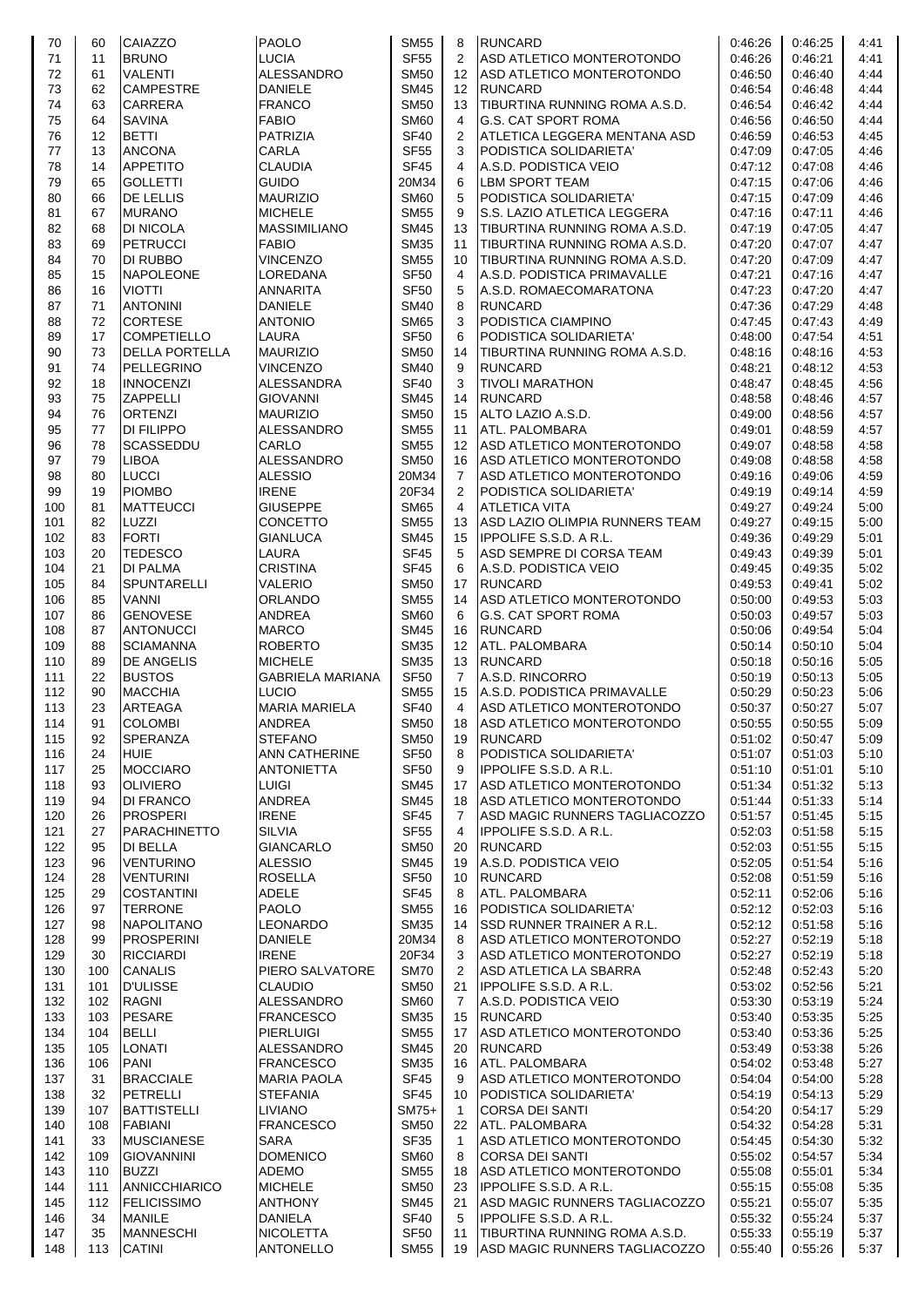| 70  | 60                | <b>CAIAZZO</b>        | <b>PAOLO</b>            | <b>SM55</b>      | 8               | <b>RUNCARD</b>                   | 0:46:26 | 0:46:25 | 4:41 |
|-----|-------------------|-----------------------|-------------------------|------------------|-----------------|----------------------------------|---------|---------|------|
|     |                   |                       |                         |                  |                 |                                  |         |         |      |
| 71  | 11                | <b>BRUNO</b>          | <b>LUCIA</b>            | <b>SF55</b>      | $\overline{2}$  | ASD ATLETICO MONTEROTONDO        | 0:46:26 | 0:46:21 | 4:41 |
| 72  | 61                | <b>VALENTI</b>        | <b>ALESSANDRO</b>       | <b>SM50</b>      | 12              | ASD ATLETICO MONTEROTONDO        | 0:46:50 | 0:46:40 | 4:44 |
| 73  | 62                | <b>CAMPESTRE</b>      | <b>DANIELE</b>          | <b>SM45</b>      | 12 <sup>°</sup> | <b>RUNCARD</b>                   | 0:46:54 | 0.46.48 | 4:44 |
|     |                   |                       |                         |                  |                 |                                  |         |         |      |
| 74  | 63                | <b>CARRERA</b>        | <b>FRANCO</b>           | <b>SM50</b>      | 13              | TIBURTINA RUNNING ROMA A.S.D.    | 0:46:54 | 0:46:42 | 4:44 |
| 75  | 64                | <b>SAVINA</b>         | <b>FABIO</b>            | <b>SM60</b>      | 4               | <b>G.S. CAT SPORT ROMA</b>       | 0:46:56 | 0:46:50 | 4:44 |
| 76  | $12 \overline{ }$ | <b>BETTI</b>          | <b>PATRIZIA</b>         | <b>SF40</b>      | 2               | ATLETICA LEGGERA MENTANA ASD     | 0:46:59 | 0.46.53 | 4:45 |
| 77  | 13                | <b>ANCONA</b>         | CARLA                   | <b>SF55</b>      | 3               | PODISTICA SOLIDARIETA'           | 0:47:09 | 0:47:05 | 4:46 |
|     |                   |                       |                         |                  |                 |                                  |         |         |      |
| 78  | 14                | <b>APPETITO</b>       | <b>CLAUDIA</b>          | <b>SF45</b>      | 4               | A.S.D. PODISTICA VEIO            | 0:47:12 | 0:47:08 | 4:46 |
| 79  | 65                | <b>GOLLETTI</b>       | <b>GUIDO</b>            | 20M34            | 6               | <b>LBM SPORT TEAM</b>            | 0:47:15 | 0.47:06 | 4:46 |
| 80  | 66                | <b>DE LELLIS</b>      | <b>MAURIZIO</b>         | <b>SM60</b>      | 5               | PODISTICA SOLIDARIETA'           | 0:47:15 | 0:47:09 | 4:46 |
| 81  | 67                | <b>MURANO</b>         | <b>MICHELE</b>          | <b>SM55</b>      | 9               | S.S. LAZIO ATLETICA LEGGERA      | 0.47:16 | 0.47:11 | 4:46 |
|     |                   |                       |                         |                  |                 |                                  |         |         |      |
| 82  | 68                | <b>DI NICOLA</b>      | <b>MASSIMILIANO</b>     | <b>SM45</b>      | 13              | TIBURTINA RUNNING ROMA A.S.D.    | 0:47:19 | 0.47:05 | 4:47 |
| 83  | 69                | <b>PETRUCCI</b>       | <b>FABIO</b>            | <b>SM35</b>      | 11              | TIBURTINA RUNNING ROMA A.S.D.    | 0:47:20 | 0.47:07 | 4:47 |
| 84  | 70                | <b>DI RUBBO</b>       | <b>VINCENZO</b>         | <b>SM55</b>      | 10              | TIBURTINA RUNNING ROMA A.S.D.    | 0.47:20 | 0.47:09 | 4:47 |
| 85  | 15                | <b>NAPOLEONE</b>      | LOREDANA                | <b>SF50</b>      | 4               | A.S.D. PODISTICA PRIMAVALLE      | 0:47:21 | 0.47:16 | 4:47 |
|     |                   |                       |                         |                  |                 |                                  |         |         |      |
| 86  | 16                | <b>VIOTTI</b>         | ANNARITA                | <b>SF50</b>      | 5               | A.S.D. ROMAECOMARATONA           | 0:47:23 | 0.47:20 | 4:47 |
| 87  | 71                | <b>ANTONINI</b>       | <b>DANIELE</b>          | <b>SM40</b>      | 8               | <b>RUNCARD</b>                   | 0:47:36 | 0:47:29 | 4:48 |
| 88  | 72                | <b>CORTESE</b>        | <b>ANTONIO</b>          | <b>SM65</b>      | 3               | PODISTICA CIAMPINO               | 0:47:45 | 0:47:43 | 4:49 |
| 89  | 17                | <b>COMPETIELLO</b>    | <b>LAURA</b>            | <b>SF50</b>      | 6               | PODISTICA SOLIDARIETA'           | 0:48:00 | 0:47:54 | 4:51 |
|     |                   |                       |                         |                  |                 |                                  |         |         |      |
| 90  | 73                | <b>DELLA PORTELLA</b> | <b>MAURIZIO</b>         | <b>SM50</b>      | 14              | TIBURTINA RUNNING ROMA A.S.D.    | 0.48:16 | 0.48.16 | 4:53 |
| 91  | 74                | PELLEGRINO            | <b>VINCENZO</b>         | <b>SM40</b>      | 9               | <b>RUNCARD</b>                   | 0:48:21 | 0:48:12 | 4:53 |
| 92  | 18                | <b>INNOCENZI</b>      | ALESSANDRA              | <b>SF40</b>      | 3               | <b>TIVOLI MARATHON</b>           | 0:48:47 | 0.48.45 | 4:56 |
| 93  | 75                | <b>ZAPPELLI</b>       | <b>GIOVANNI</b>         | <b>SM45</b>      | 14              | <b>RUNCARD</b>                   | 0:48:58 | 0:48:46 | 4:57 |
|     |                   |                       |                         |                  |                 |                                  |         |         |      |
| 94  | 76                | <b>ORTENZI</b>        | <b>MAURIZIO</b>         | <b>SM50</b>      | 15              | ALTO LAZIO A.S.D.                | 0:49:00 | 0:48:56 | 4:57 |
| 95  | 77                | <b>DI FILIPPO</b>     | ALESSANDRO              | <b>SM55</b>      | 11              | ATL. PALOMBARA                   | 0:49:01 | 0:48:59 | 4:57 |
| 96  | 78                | <b>SCASSEDDU</b>      | CARLO                   | <b>SM55</b>      | 12              | ASD ATLETICO MONTEROTONDO        | 0:49:07 | 0.48.58 | 4:58 |
|     |                   |                       |                         |                  |                 |                                  |         |         |      |
| 97  | 79                | <b>LIBOA</b>          | ALESSANDRO              | <b>SM50</b>      | 16              | ASD ATLETICO MONTEROTONDO        | 0:49:08 | 0:48:58 | 4:58 |
| 98  | 80                | <b>LUCCI</b>          | <b>ALESSIO</b>          | 20M34            | $\overline{7}$  | ASD ATLETICO MONTEROTONDO        | 0.49.16 | 0:49:06 | 4:59 |
| 99  | 19                | <b>PIOMBO</b>         | <b>IRENE</b>            | 20F34            | $\overline{2}$  | PODISTICA SOLIDARIETA'           | 0:49:19 | 0.49.14 | 4:59 |
| 100 | 81                | <b>MATTEUCCI</b>      | <b>GIUSEPPE</b>         | <b>SM65</b>      | 4               | <b>ATLETICA VITA</b>             | 0:49:27 | 0:49:24 | 5:00 |
|     |                   |                       |                         |                  |                 |                                  |         |         |      |
| 101 | 82                | LUZZI                 | <b>CONCETTO</b>         | <b>SM55</b>      | 13              | ASD LAZIO OLIMPIA RUNNERS TEAM   | 0:49:27 | 0:49:15 | 5:00 |
| 102 | 83                | <b>FORTI</b>          | GIANLUCA                | <b>SM45</b>      | 15              | <b>IPPOLIFE S.S.D. A R.L.</b>    | 0:49:36 | 0:49:29 | 5:01 |
| 103 | 20                | <b>TEDESCO</b>        | LAURA                   | <b>SF45</b>      | 5               | ASD SEMPRE DI CORSA TEAM         | 0:49:43 | 0:49:39 | 5:01 |
| 104 | 21                | <b>DI PALMA</b>       | <b>CRISTINA</b>         | <b>SF45</b>      | 6               | A.S.D. PODISTICA VEIO            | 0:49:45 | 0.49.35 | 5:02 |
|     |                   |                       |                         |                  |                 |                                  |         |         |      |
| 105 | 84                | <b>SPUNTARELLI</b>    | VALERIO                 | <b>SM50</b>      | 17              | <b>RUNCARD</b>                   | 0:49:53 | 0.49.41 | 5:02 |
| 106 | 85                | <b>VANNI</b>          | <b>ORLANDO</b>          | <b>SM55</b>      | 14              | ASD ATLETICO MONTEROTONDO        | 0:50:00 | 0:49:53 | 5:03 |
| 107 | 86                | <b>GENOVESE</b>       | <b>ANDREA</b>           | <b>SM60</b>      | 6               | G.S. CAT SPORT ROMA              | 0:50:03 | 0:49:57 | 5:03 |
| 108 | 87                | <b>ANTONUCCI</b>      | <b>MARCO</b>            | <b>SM45</b>      | 16              | <b>RUNCARD</b>                   | 0.50:06 | 0.49.54 | 5:04 |
|     |                   |                       |                         |                  |                 |                                  |         |         |      |
| 109 | 88                | <b>SCIAMANNA</b>      | <b>ROBERTO</b>          | <b>SM35</b>      | 12 <sup>°</sup> | ATL. PALOMBARA                   | 0.50:14 | 0:50:10 | 5:04 |
| 110 | 89                | <b>DE ANGELIS</b>     | <b>MICHELE</b>          | <b>SM35</b>      | 13              | <b>RUNCARD</b>                   | 0:50:18 | 0.50.16 | 5:05 |
| 111 | 22                | <b>BUSTOS</b>         | <b>GABRIELA MARIANA</b> | <b>SF50</b>      | $\overline{7}$  | A.S.D. RINCORRO                  | 0:50:19 | 0:50:13 | 5:05 |
| 112 | 90                | <b>MACCHIA</b>        | <b>LUCIO</b>            | <b>SM55</b>      | 15              | A.S.D. PODISTICA PRIMAVALLE      | 0:50:29 | 0:50:23 | 5:06 |
|     |                   |                       |                         |                  |                 |                                  |         |         |      |
| 113 | 23                | <b>ARTEAGA</b>        | <b>MARIA MARIELA</b>    | <b>SF40</b>      | 4               | ASD ATLETICO MONTEROTONDO        | 0:50:37 | 0:50:27 | 5:07 |
| 114 | 91                | <b>COLOMBI</b>        | <b>ANDREA</b>           | <b>SM50</b>      | 18              | ASD ATLETICO MONTEROTONDO        | 0:50:55 | 0:50:55 | 5:09 |
| 115 | 92                | <b>SPERANZA</b>       | <b>STEFANO</b>          | <b>SM50</b>      | 19              | <b>RUNCARD</b>                   | 0:51:02 | 0:50:47 | 5:09 |
| 116 | 24                | <b>HUIE</b>           | <b>ANN CATHERINE</b>    | <b>SF50</b>      | 8               | PODISTICA SOLIDARIETA'           | 0:51:07 | 0:51:03 | 5:10 |
|     |                   |                       |                         |                  |                 |                                  |         |         |      |
| 117 | 25                | <b>MOCCIARO</b>       | <b>ANTONIETTA</b>       | <b>SF50</b>      | 9               | <b>IPPOLIFE S.S.D. A R.L.</b>    | 0.51:10 | 0:51:01 | 5:10 |
| 118 | 93                | <b>OLIVIERO</b>       | <b>LUIGI</b>            | SM45             | 17              | ASD ATLETICO MONTEROTONDO        | 0:51:34 | 0:51:32 | 5:13 |
| 119 | 94                | <b>DI FRANCO</b>      | ANDREA                  | <b>SM45</b>      | 18              | ASD ATLETICO MONTEROTONDO        | 0:51:44 | 0:51:33 | 5:14 |
| 120 | 26                | <b>PROSPERI</b>       | <b>IRENE</b>            | <b>SF45</b>      | 7               | ASD MAGIC RUNNERS TAGLIACOZZO    | 0:51:57 | 0:51:45 | 5:15 |
|     |                   |                       |                         |                  |                 |                                  |         |         |      |
| 121 | 27                | <b>PARACHINETTO</b>   | <b>SILVIA</b>           | <b>SF55</b>      | 4               | <b>IPPOLIFE S.S.D. A R.L.</b>    | 0:52:03 | 0:51:58 | 5:15 |
| 122 | 95                | DI BELLA              | <b>GIANCARLO</b>        | <b>SM50</b>      | 20              | <b>RUNCARD</b>                   | 0.52.03 | 0.51.55 | 5:15 |
| 123 | 96                | <b>VENTURINO</b>      | <b>ALESSIO</b>          | <b>SM45</b>      | 19              | A.S.D. PODISTICA VEIO            | 0.52:05 | 0:51:54 | 5:16 |
| 124 | 28                | <b>VENTURINI</b>      | <b>ROSELLA</b>          | <b>SF50</b>      | 10              | <b>RUNCARD</b>                   | 0.52:08 | 0:51:59 | 5:16 |
|     |                   |                       |                         |                  |                 |                                  |         |         |      |
| 125 | 29                | <b>COSTANTINI</b>     | <b>ADELE</b>            | <b>SF45</b>      | 8               | ATL. PALOMBARA                   | 0:52:11 | 0:52:06 | 5:16 |
| 126 | 97                | <b>TERRONE</b>        | <b>PAOLO</b>            | <b>SM55</b>      | 16              | PODISTICA SOLIDARIETA'           | 0.52:12 | 0:52:03 | 5:16 |
| 127 | 98                | <b>NAPOLITANO</b>     | <b>LEONARDO</b>         | <b>SM35</b>      | 14              | <b>SSD RUNNER TRAINER A R.L.</b> | 0.52:12 | 0:51:58 | 5:16 |
| 128 | 99                | <b>PROSPERINI</b>     | <b>DANIELE</b>          | 20M34            | 8               | ASD ATLETICO MONTEROTONDO        | 0:52:27 | 0.52:19 | 5:18 |
|     |                   |                       |                         |                  |                 |                                  |         |         |      |
| 129 | 30                | <b>RICCIARDI</b>      | <b>IRENE</b>            | 20F34            | 3               | ASD ATLETICO MONTEROTONDO        | 0.52.27 | 0:52:19 | 5:18 |
| 130 | 100               | <b>CANALIS</b>        | PIERO SALVATORE         | <b>SM70</b>      | $\overline{2}$  | ASD ATLETICA LA SBARRA           | 0.52:48 | 0:52:43 | 5:20 |
| 131 | 101               | <b>D'ULISSE</b>       | <b>CLAUDIO</b>          | <b>SM50</b>      | 21              | <b>IPPOLIFE S.S.D. A R.L.</b>    | 0:53:02 | 0.52.56 | 5:21 |
| 132 | 102               | <b>RAGNI</b>          | ALESSANDRO              | <b>SM60</b>      | $\overline{7}$  | A.S.D. PODISTICA VEIO            | 0.53.30 | 0:53:19 | 5:24 |
|     |                   |                       | <b>FRANCESCO</b>        |                  |                 |                                  |         |         |      |
| 133 | 103               | <b>PESARE</b>         |                         | <b>SM35</b>      | 15              | <b>RUNCARD</b>                   | 0:53:40 | 0:53:35 | 5:25 |
| 134 | 104               | <b>BELLI</b>          | <b>PIERLUIGI</b>        | <b>SM55</b>      | 17              | ASD ATLETICO MONTEROTONDO        | 0.53.40 | 0:53:36 | 5:25 |
| 135 | 105               | LONATI                | ALESSANDRO              | <b>SM45</b>      | 20              | <b>RUNCARD</b>                   | 0:53:49 | 0:53:38 | 5:26 |
| 136 | 106               | PANI                  | <b>FRANCESCO</b>        | <b>SM35</b>      | 16              | ATL. PALOMBARA                   | 0.54.02 | 0:53:48 | 5:27 |
|     |                   |                       |                         |                  |                 |                                  |         |         |      |
| 137 | 31                | <b>BRACCIALE</b>      | <b>MARIA PAOLA</b>      | <b>SF45</b>      | 9               | ASD ATLETICO MONTEROTONDO        | 0:54:04 | 0.54:00 | 5:28 |
| 138 | 32                | PETRELLI              | <b>STEFANIA</b>         | <b>SF45</b>      | 10              | PODISTICA SOLIDARIETA'           | 0:54:19 | 0:54:13 | 5:29 |
| 139 | 107               | <b>BATTISTELLI</b>    | <b>LIVIANO</b>          | SM75+            | $\mathbf{1}$    | <b>CORSA DEI SANTI</b>           | 0:54:20 | 0:54:17 | 5:29 |
| 140 | 108               | <b>FABIANI</b>        | <b>FRANCESCO</b>        | <b>SM50</b>      | 22              | ATL. PALOMBARA                   | 0:54:32 | 0:54:28 | 5:31 |
|     |                   |                       |                         |                  |                 |                                  |         |         |      |
| 141 | 33                | <b>MUSCIANESE</b>     | <b>SARA</b>             | <b>SF35</b>      | $\mathbf{1}$    | ASD ATLETICO MONTEROTONDO        | 0.54:45 | 0:54:30 | 5:32 |
| 142 | 109               | <b>GIOVANNINI</b>     | <b>DOMENICO</b>         | <b>SM60</b>      | 8               | <b>CORSA DEI SANTI</b>           | 0:55:02 | 0:54:57 | 5:34 |
| 143 | 110               | <b>BUZZI</b>          | ADEMO                   | <b>SM55</b>      | 18              | ASD ATLETICO MONTEROTONDO        | 0:55:08 | 0:55:01 | 5:34 |
| 144 | 111               | ANNICCHIARICO         | <b>MICHELE</b>          | <b>SM50</b>      | 23              | <b>IPPOLIFE S.S.D. A R.L.</b>    | 0:55:15 | 0:55:08 | 5:35 |
|     |                   |                       |                         |                  |                 |                                  |         |         |      |
| 145 | 112               | FELICISSIMO           | <b>ANTHONY</b>          | <b>SM45</b>      | 21              | ASD MAGIC RUNNERS TAGLIACOZZO    | 0.55.21 | 0:55:07 | 5:35 |
| 146 | 34                | <b>MANILE</b>         | <b>DANIELA</b>          | <b>SF40</b>      | 5               | <b>IPPOLIFE S.S.D. A R.L.</b>    | 0:55:32 | 0:55:24 | 5:37 |
| 147 | 35                | <b>MANNESCHI</b>      | <b>NICOLETTA</b>        | SF <sub>50</sub> | 11              | ITIBURTINA RUNNING ROMA A.S.D.   | 0.55.33 | 0:55:19 | 5:37 |
| 148 | 113               | <b>CATINI</b>         | <b>ANTONELLO</b>        | <b>SM55</b>      | 19              | ASD MAGIC RUNNERS TAGLIACOZZO    | 0:55:40 | 0:55:26 | 5:37 |
|     |                   |                       |                         |                  |                 |                                  |         |         |      |